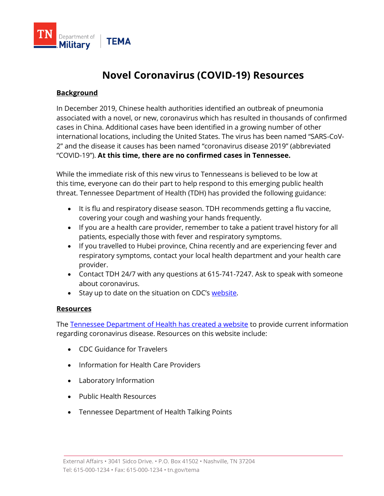

## **Novel Coronavirus (COVID-19) Resources**

## **Background**

In December 2019, Chinese health authorities identified an outbreak of pneumonia associated with a novel, or new, coronavirus which has resulted in thousands of confirmed cases in China. Additional cases have been identified in a growing number of other international locations, including the United States. The virus has been named "SARS-CoV-2" and the disease it causes has been named "coronavirus disease 2019" (abbreviated "COVID-19"). **At this time, there are no confirmed cases in Tennessee.**

While the immediate risk of this new virus to Tennesseans is believed to be low at this time, everyone can do their part to help respond to this emerging public health threat. Tennessee Department of Health (TDH) has provided the following guidance:

- It is flu and respiratory disease season. TDH recommends getting a flu vaccine, covering your cough and washing your hands frequently.
- If you are a health care provider, remember to take a patient travel history for all patients, especially those with fever and respiratory symptoms.
- If you travelled to Hubei province, China recently and are experiencing fever and respiratory symptoms, contact your local health department and your health care provider.
- Contact TDH 24/7 with any questions at 615-741-7247. Ask to speak with someone about coronavirus.
- Stay up to date on the situation on CDC's [website.](https://www.cdc.gov/coronavirus/2019-ncov/index.html)

## **Resources**

The [Tennessee Department of Health has created a website](https://www.tn.gov/health/cedep/ncov.html) to provide current information regarding coronavirus disease. Resources on this website include:

- CDC Guidance for Travelers
- Information for Health Care Providers
- Laboratory Information
- Public Health Resources
- Tennessee Department of Health Talking Points